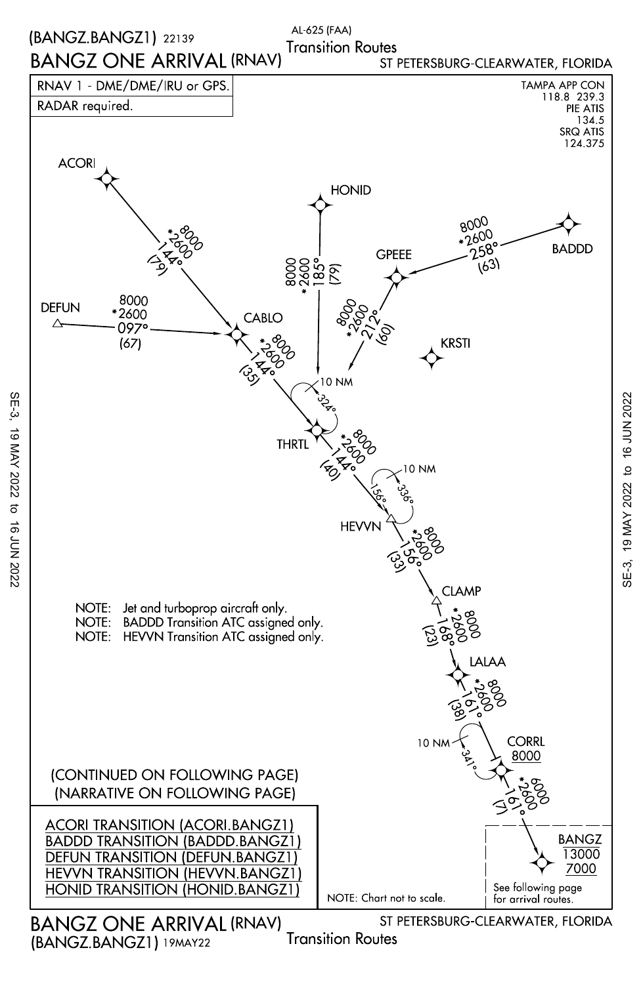

SE-3, 19 MAY 2022 to 16 JUN 2022

 $\sigma$ 

16 JUN 2022

19 MAY 2022

SE-3,

SE-3, 19 MAY 2022 to 16 JUN 202219 MAY 2022 to 16 JUN 2022

 $SE-3$ ,